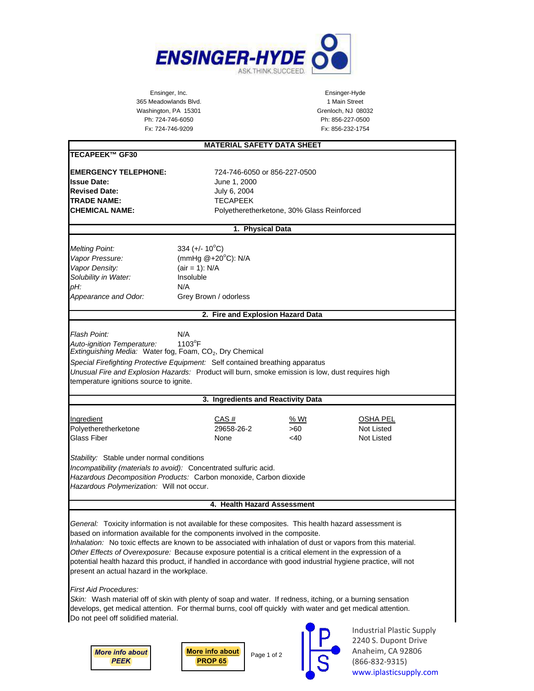

Ensinger, Inc. Ensinger-Hyde 365 Meadowlands Blvd. 1 Main Street Washington, PA 15301 Grenloch, NJ 08032 Ph: 724-746-6050 Ph: 856-227-0500 Fx: 724-746-9209 Fx: 856-232-1754

| <b>MATERIAL SAFETY DATA SHEET</b>                                                                                                                                                                                                                                                                                                                                                                                                                                                                                                                                                                                                                                                                                                                                                                                                            |                                                                                                                            |                                            |                                                          |
|----------------------------------------------------------------------------------------------------------------------------------------------------------------------------------------------------------------------------------------------------------------------------------------------------------------------------------------------------------------------------------------------------------------------------------------------------------------------------------------------------------------------------------------------------------------------------------------------------------------------------------------------------------------------------------------------------------------------------------------------------------------------------------------------------------------------------------------------|----------------------------------------------------------------------------------------------------------------------------|--------------------------------------------|----------------------------------------------------------|
| <b>TECAPEEK™ GF30</b>                                                                                                                                                                                                                                                                                                                                                                                                                                                                                                                                                                                                                                                                                                                                                                                                                        |                                                                                                                            |                                            |                                                          |
| <b>EMERGENCY TELEPHONE:</b><br><b>Issue Date:</b><br><b>Revised Date:</b><br><b>TRADE NAME:</b><br><b>CHEMICAL NAME:</b>                                                                                                                                                                                                                                                                                                                                                                                                                                                                                                                                                                                                                                                                                                                     | 724-746-6050 or 856-227-0500<br>June 1, 2000<br>July 6, 2004<br><b>TECAPEEK</b>                                            | Polyetheretherketone, 30% Glass Reinforced |                                                          |
| 1. Physical Data                                                                                                                                                                                                                                                                                                                                                                                                                                                                                                                                                                                                                                                                                                                                                                                                                             |                                                                                                                            |                                            |                                                          |
| <b>Melting Point:</b><br>Vapor Pressure:<br>Vapor Density:<br>Solubility in Water:<br>pH:<br>Appearance and Odor:                                                                                                                                                                                                                                                                                                                                                                                                                                                                                                                                                                                                                                                                                                                            | 334 (+/- $10^{\circ}$ C)<br>(mmHg $@+20^{\circ}C$ ): N/A<br>$(air = 1)$ : N/A<br>Insoluble<br>N/A<br>Grey Brown / odorless |                                            |                                                          |
| 2. Fire and Explosion Hazard Data                                                                                                                                                                                                                                                                                                                                                                                                                                                                                                                                                                                                                                                                                                                                                                                                            |                                                                                                                            |                                            |                                                          |
| Flash Point:<br>Auto-ignition Temperature:<br>Extinguishing Media: Water fog, Foam, CO <sub>2</sub> , Dry Chemical<br>Special Firefighting Protective Equipment: Self contained breathing apparatus<br>Unusual Fire and Explosion Hazards: Product will burn, smoke emission is low, dust requires high<br>temperature ignitions source to ignite.                                                                                                                                                                                                                                                                                                                                                                                                                                                                                           | N/A<br>1103°F                                                                                                              |                                            |                                                          |
|                                                                                                                                                                                                                                                                                                                                                                                                                                                                                                                                                                                                                                                                                                                                                                                                                                              | 3. Ingredients and Reactivity Data                                                                                         |                                            |                                                          |
| Ingredient<br>Polyetheretherketone<br>Glass Fiber                                                                                                                                                                                                                                                                                                                                                                                                                                                                                                                                                                                                                                                                                                                                                                                            | CAS#<br>29658-26-2<br>None                                                                                                 | % Wt<br>>60<br>$<$ 40                      | OSHA PEL<br>Not Listed<br>Not Listed                     |
| Stability: Stable under normal conditions<br>Incompatibility (materials to avoid): Concentrated sulfuric acid.<br>Hazardous Decomposition Products: Carbon monoxide, Carbon dioxide<br>Hazardous Polymerization: Will not occur.                                                                                                                                                                                                                                                                                                                                                                                                                                                                                                                                                                                                             |                                                                                                                            |                                            |                                                          |
| 4. Health Hazard Assessment                                                                                                                                                                                                                                                                                                                                                                                                                                                                                                                                                                                                                                                                                                                                                                                                                  |                                                                                                                            |                                            |                                                          |
| General: Toxicity information is not available for these composites. This health hazard assessment is<br>based on information available for the components involved in the composite.<br>Inhalation: No toxic effects are known to be associated with inhalation of dust or vapors from this material.<br>Other Effects of Overexposure: Because exposure potential is a critical element in the expression of a<br>potential health hazard this product, if handled in accordance with good industrial hygiene practice, will not<br>present an actual hazard in the workplace.<br><b>First Aid Procedures:</b><br>Skin: Wash material off of skin with plenty of soap and water. If redness, itching, or a burning sensation<br>develops, get medical attention. For thermal burns, cool off quickly with water and get medical attention. |                                                                                                                            |                                            |                                                          |
| Do not peel off solidified material.                                                                                                                                                                                                                                                                                                                                                                                                                                                                                                                                                                                                                                                                                                                                                                                                         |                                                                                                                            |                                            | <b>Industrial Plastic Supply</b><br>2240 S. Dupont Drive |

*[More info about](https://iplasticsupply.com/plastic-materials-list/peek-victrex-pekk-paek-polyetheretherketone-sheet-rod/) PEEK*



Page 1 of 2

2240 S. Dupont Drive Anaheim, CA 92806 (866-832-9315) [www.iplasticsupply.com](https://iplasticsupply.com)